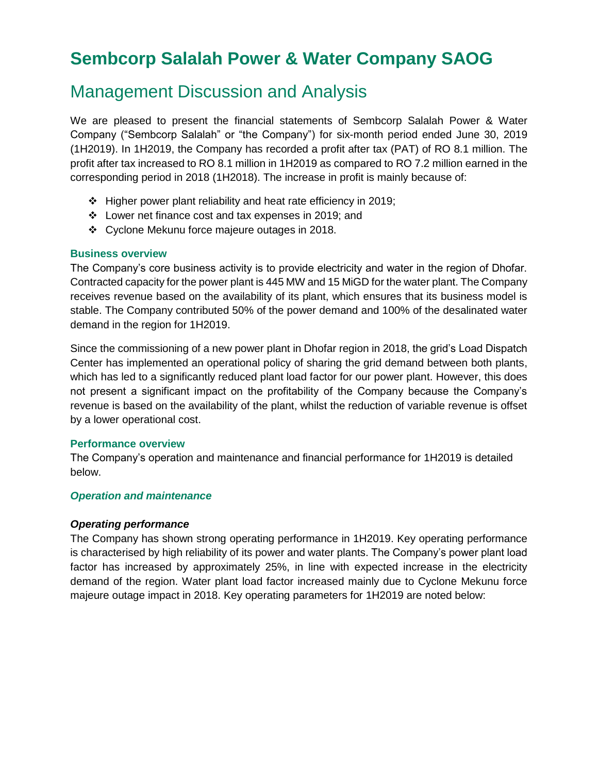# **Sembcorp Salalah Power & Water Company SAOG**

# Management Discussion and Analysis

We are pleased to present the financial statements of Sembcorp Salalah Power & Water Company ("Sembcorp Salalah" or "the Company") for six-month period ended June 30, 2019 (1H2019). In 1H2019, the Company has recorded a profit after tax (PAT) of RO 8.1 million. The profit after tax increased to RO 8.1 million in 1H2019 as compared to RO 7.2 million earned in the corresponding period in 2018 (1H2018). The increase in profit is mainly because of:

- ❖ Higher power plant reliability and heat rate efficiency in 2019;
- ❖ Lower net finance cost and tax expenses in 2019; and
- ❖ Cyclone Mekunu force majeure outages in 2018.

## **Business overview**

The Company's core business activity is to provide electricity and water in the region of Dhofar. Contracted capacity for the power plant is 445 MW and 15 MiGD for the water plant. The Company receives revenue based on the availability of its plant, which ensures that its business model is stable. The Company contributed 50% of the power demand and 100% of the desalinated water demand in the region for 1H2019.

Since the commissioning of a new power plant in Dhofar region in 2018, the grid's Load Dispatch Center has implemented an operational policy of sharing the grid demand between both plants, which has led to a significantly reduced plant load factor for our power plant. However, this does not present a significant impact on the profitability of the Company because the Company's revenue is based on the availability of the plant, whilst the reduction of variable revenue is offset by a lower operational cost.

## **Performance overview**

The Company's operation and maintenance and financial performance for 1H2019 is detailed below.

## *Operation and maintenance*

## *Operating performance*

The Company has shown strong operating performance in 1H2019. Key operating performance is characterised by high reliability of its power and water plants. The Company's power plant load factor has increased by approximately 25%, in line with expected increase in the electricity demand of the region. Water plant load factor increased mainly due to Cyclone Mekunu force majeure outage impact in 2018. Key operating parameters for 1H2019 are noted below: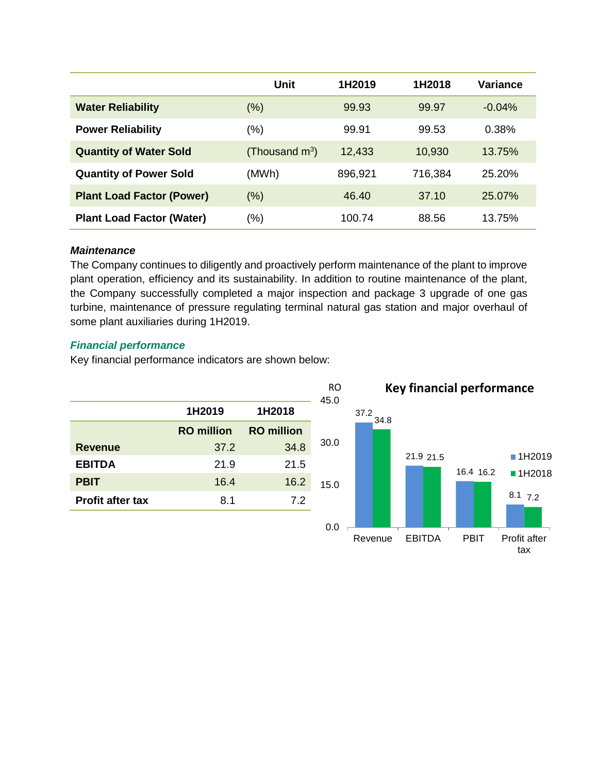|                                  | Unit              | 1H2019  | 1H2018  | Variance  |
|----------------------------------|-------------------|---------|---------|-----------|
| <b>Water Reliability</b>         | (%)               | 99.93   | 99.97   | $-0.04%$  |
| <b>Power Reliability</b>         | (%)               | 99.91   | 99.53   | 0.38%     |
| <b>Quantity of Water Sold</b>    | (Thousand $m^3$ ) | 12,433  | 10,930  | $13.75\%$ |
| <b>Quantity of Power Sold</b>    | (MWh)             | 896,921 | 716,384 | 25.20%    |
| <b>Plant Load Factor (Power)</b> | $(\%)$            | 46.40   | 37.10   | 25.07%    |
| <b>Plant Load Factor (Water)</b> | (%)               | 100.74  | 88.56   | 13.75%    |

#### *Maintenance*

The Company continues to diligently and proactively perform maintenance of the plant to improve plant operation, efficiency and its sustainability. In addition to routine maintenance of the plant, the Company successfully completed a major inspection and package 3 upgrade of one gas turbine, maintenance of pressure regulating terminal natural gas station and major overhaul of some plant auxiliaries during 1H2019.

## *Financial performance*

Key financial performance indicators are shown below:

| 1H2018            |  |
|-------------------|--|
| <b>RO</b> million |  |
| 34.8              |  |
| 21.5              |  |
| 16.2              |  |
| 7.2               |  |
|                   |  |

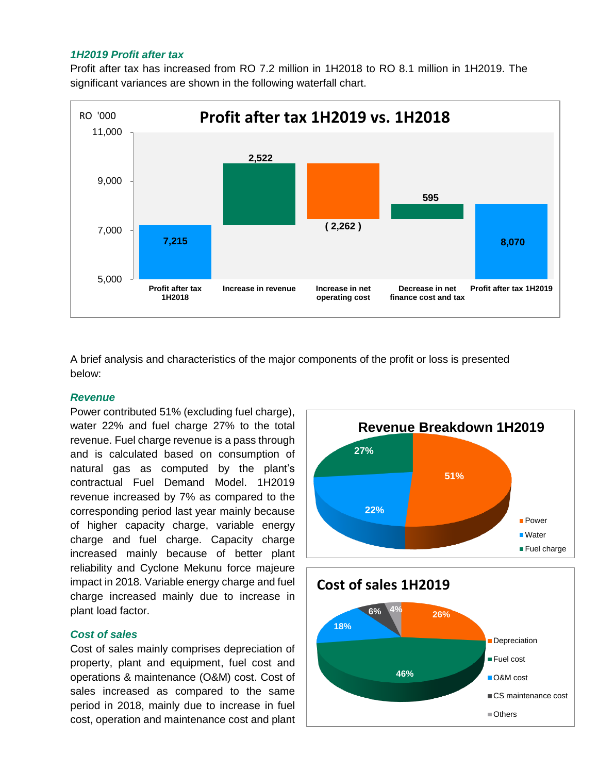#### *1H2019 Profit after tax*

Profit after tax has increased from RO 7.2 million in 1H2018 to RO 8.1 million in 1H2019. The significant variances are shown in the following waterfall chart.



A brief analysis and characteristics of the major components of the profit or loss is presented below:

## *Revenue*

Power contributed 51% (excluding fuel charge), water 22% and fuel charge 27% to the total revenue. Fuel charge revenue is a pass through and is calculated based on consumption of natural gas as computed by the plant's contractual Fuel Demand Model. 1H2019 revenue increased by 7% as compared to the corresponding period last year mainly because of higher capacity charge, variable energy charge and fuel charge. Capacity charge increased mainly because of better plant reliability and Cyclone Mekunu force majeure impact in 2018. Variable energy charge and fuel charge increased mainly due to increase in plant load factor.

## *Cost of sales*

Cost of sales mainly comprises depreciation of property, plant and equipment, fuel cost and operations & maintenance (O&M) cost. Cost of sales increased as compared to the same period in 2018, mainly due to increase in fuel cost, operation and maintenance cost and plant